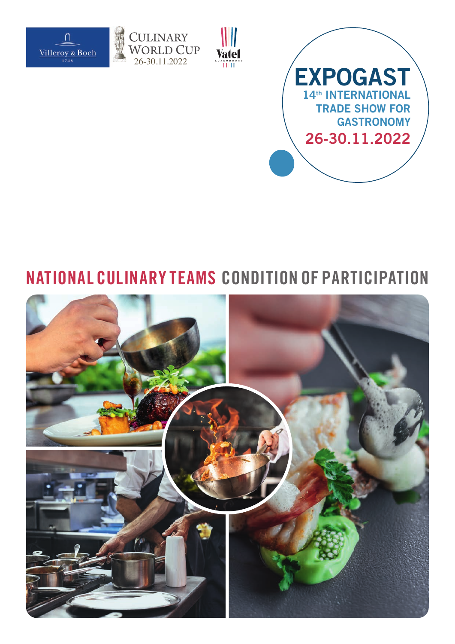







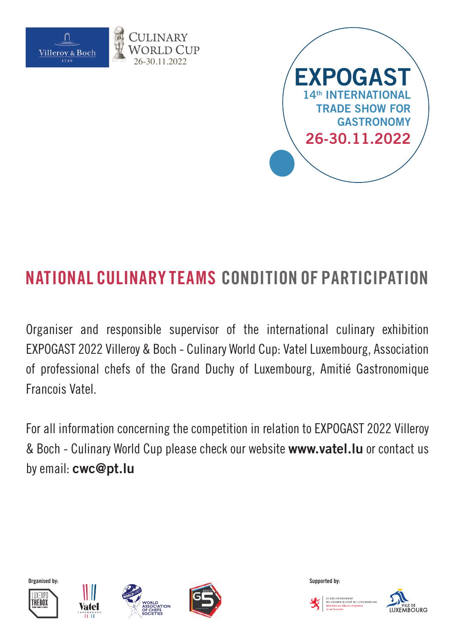



Organiser and responsible supervisor of the international culinary exhibition EXPOGAST 2022 Villeroy & Boch - Culinary World Cup: Vatel Luxembourg, Association of professional chefs of the Grand Duchy of Luxembourg, Amitié Gastronomique Francois Vatel.

For all information concerning the competition in relation to EXPOGAST 2022 Villeroy & Boch - Culinary World Cup please check our website **www.vatel.lu** or contact us by email: **cwc@pt.lu**













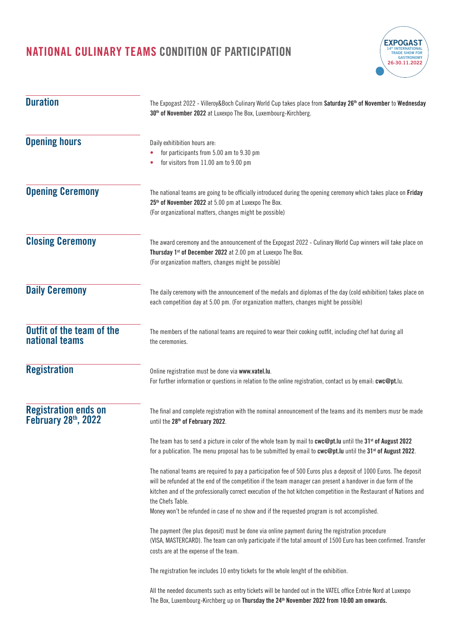

| <b>Duration</b>                                    | The Expogast 2022 - Villeroy&Boch Culinary World Cup takes place from Saturday 26 <sup>th</sup> of November to Wednesday<br>30 <sup>th</sup> of November 2022 at Luxexpo The Box, Luxembourg-Kirchberg.                                                                                                                                                                                                                                                                      |  |  |
|----------------------------------------------------|------------------------------------------------------------------------------------------------------------------------------------------------------------------------------------------------------------------------------------------------------------------------------------------------------------------------------------------------------------------------------------------------------------------------------------------------------------------------------|--|--|
| <b>Opening hours</b>                               | Daily exhitibition hours are:<br>for participants from 5.00 am to 9.30 pm<br>for visitors from 11.00 am to 9.00 pm                                                                                                                                                                                                                                                                                                                                                           |  |  |
| <b>Opening Ceremony</b>                            | The national teams are going to be officially introduced during the opening ceremony which takes place on Friday<br>25 <sup>th</sup> of November 2022 at 5.00 pm at Luxexpo The Box.<br>(For organizational matters, changes might be possible)                                                                                                                                                                                                                              |  |  |
| <b>Closing Ceremony</b>                            | The award ceremony and the announcement of the Expogast 2022 - Culinary World Cup winners will take place on<br>Thursday 1 <sup>st</sup> of December 2022 at 2.00 pm at Luxexpo The Box.<br>(For organization matters, changes might be possible)                                                                                                                                                                                                                            |  |  |
| <b>Daily Ceremony</b>                              | The daily ceremony with the announcement of the medals and diplomas of the day (cold exhibition) takes place on<br>each competition day at 5.00 pm. (For organization matters, changes might be possible)                                                                                                                                                                                                                                                                    |  |  |
| Outfit of the team of the<br>national teams        | The members of the national teams are required to wear their cooking outfit, including chef hat during all<br>the ceremonies.                                                                                                                                                                                                                                                                                                                                                |  |  |
| <b>Registration</b>                                | Online registration must be done via www.vatel.lu.<br>For further information or questions in relation to the online registration, contact us by email: cwc@pt.lu.                                                                                                                                                                                                                                                                                                           |  |  |
| <b>Registration ends on</b><br>February 28th, 2022 | The final and complete registration with the nominal announcement of the teams and its members musr be made<br>until the 28 <sup>th</sup> of February 2022.                                                                                                                                                                                                                                                                                                                  |  |  |
|                                                    | The team has to send a picture in color of the whole team by mail to cwc@pt. Iu until the $31^{st}$ of August 2022<br>for a publication. The menu proposal has to be submitted by email to cwc@pt.lu until the 31 <sup>st</sup> of August 2022.                                                                                                                                                                                                                              |  |  |
|                                                    | The national teams are required to pay a participation fee of 500 Euros plus a deposit of 1000 Euros. The deposit<br>will be refunded at the end of the competition if the team manager can present a handover in due form of the<br>kitchen and of the professionally correct execution of the hot kitchen competition in the Restaurant of Nations and<br>the Chefs Table.<br>Money won't be refunded in case of no show and if the requested program is not accomplished. |  |  |
|                                                    | The payment (fee plus deposit) must be done via online payment during the registration procedure<br>(VISA, MASTERCARD). The team can only participate if the total amount of 1500 Euro has been confirmed. Transfer<br>costs are at the expense of the team.                                                                                                                                                                                                                 |  |  |
|                                                    | The registration fee includes 10 entry tickets for the whole lenght of the exhibition.                                                                                                                                                                                                                                                                                                                                                                                       |  |  |
|                                                    | All the needed documents such as entry tickets will be handed out in the VATEL office Entrée Nord at Luxexpo<br>The Box, Luxembourg-Kirchberg up on Thursday the 24 <sup>th</sup> November 2022 from 10:00 am onwards.                                                                                                                                                                                                                                                       |  |  |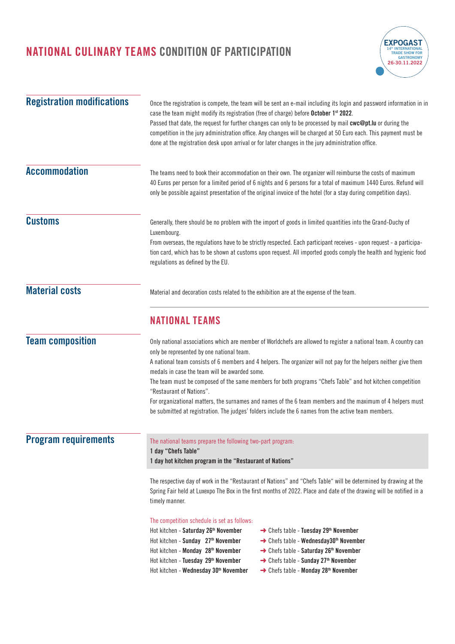

| <b>Registration modifications</b> | Once the registration is compete, the team will be sent an e-mail including its login and password information in in<br>case the team might modify its registration (free of charge) before October 1 <sup>st</sup> 2022.<br>Passed that date, the request for further changes can only to be processed by mail cwc@pt.lu or during the<br>competition in the jury administration office. Any changes will be charged at 50 Euro each. This payment must be<br>done at the registration desk upon arrival or for later changes in the jury administration office.                                                                                                                                 |  |  |
|-----------------------------------|---------------------------------------------------------------------------------------------------------------------------------------------------------------------------------------------------------------------------------------------------------------------------------------------------------------------------------------------------------------------------------------------------------------------------------------------------------------------------------------------------------------------------------------------------------------------------------------------------------------------------------------------------------------------------------------------------|--|--|
| <b>Accommodation</b>              | The teams need to book their accommodation on their own. The organizer will reimburse the costs of maximum<br>40 Euros per person for a limited period of 6 nights and 6 persons for a total of maximum 1440 Euros. Refund will<br>only be possible against presentation of the original invoice of the hotel (for a stay during competition days).                                                                                                                                                                                                                                                                                                                                               |  |  |
| <b>Customs</b>                    | Generally, there should be no problem with the import of goods in limited quantities into the Grand-Duchy of<br>Luxembourg.<br>From overseas, the regulations have to be strictly respected. Each participant receives - upon request - a participa-<br>tion card, which has to be shown at customs upon request. All imported goods comply the health and hygienic food<br>regulations as defined by the EU.                                                                                                                                                                                                                                                                                     |  |  |
| <b>Material costs</b>             | Material and decoration costs related to the exhibition are at the expense of the team.                                                                                                                                                                                                                                                                                                                                                                                                                                                                                                                                                                                                           |  |  |
|                                   | <b>NATIONAL TEAMS</b>                                                                                                                                                                                                                                                                                                                                                                                                                                                                                                                                                                                                                                                                             |  |  |
| <b>Team composition</b>           | Only national associations which are member of Worldchefs are allowed to register a national team. A country can<br>only be represented by one national team.<br>A national team consists of 6 members and 4 helpers. The organizer will not pay for the helpers neither give them<br>medals in case the team will be awarded some.<br>The team must be composed of the same members for both programs "Chefs Table" and hot kitchen competition<br>"Restaurant of Nations".<br>For organizational matters, the surnames and names of the 6 team members and the maximum of 4 helpers must<br>be submitted at registration. The judges' folders include the 6 names from the active team members. |  |  |
| <b>Program requirements</b>       | The national teams prepare the following two-part program:<br>1 day "Chefs Table"<br>1 day hot kitchen program in the "Restaurant of Nations"                                                                                                                                                                                                                                                                                                                                                                                                                                                                                                                                                     |  |  |
|                                   | The respective day of work in the "Restaurant of Nations" and "Chefs Table" will be determined by drawing at the<br>Spring Fair held at Luxexpo The Box in the first months of 2022. Place and date of the drawing will be notified in a<br>timely manner.                                                                                                                                                                                                                                                                                                                                                                                                                                        |  |  |
|                                   | The competition schedule is set as follows:<br>Hot kitchen - Saturday 26 <sup>th</sup> November<br>→ Chefs table - Tuesday 29th November<br>→ Chefs table - Wednesday30 <sup>th</sup> November<br>Hot kitchen - Sunday 27th November<br>Hot kitchen - Monday 28 <sup>th</sup> November<br>→ Chefs table - Saturday 26 <sup>th</sup> November<br>Hot kitchen - Tuesday 29th November<br>$\rightarrow$ Chefs table - Sunday 27 <sup>th</sup> November<br>Hot kitchen - Wednesday 30 <sup>th</sup> November<br>→ Chefs table - Monday 28 <sup>th</sup> November                                                                                                                                      |  |  |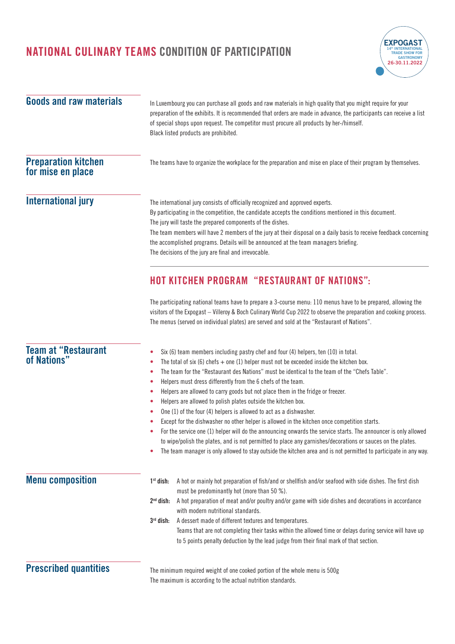

| <b>Goods and raw materials</b>                  | In Luxembourg you can purchase all goods and raw materials in high quality that you might require for your<br>preparation of the exhibits. It is recommended that orders are made in advance, the participants can receive a list<br>of special shops upon request. The competitor must procure all products by her-/himself.<br>Black listed products are prohibited.                                                                                                                                                                                                                                                                                                                                                                                                                                                                                                                                                                                                                                                                                                      |  |  |  |
|-------------------------------------------------|-----------------------------------------------------------------------------------------------------------------------------------------------------------------------------------------------------------------------------------------------------------------------------------------------------------------------------------------------------------------------------------------------------------------------------------------------------------------------------------------------------------------------------------------------------------------------------------------------------------------------------------------------------------------------------------------------------------------------------------------------------------------------------------------------------------------------------------------------------------------------------------------------------------------------------------------------------------------------------------------------------------------------------------------------------------------------------|--|--|--|
| <b>Preparation kitchen</b><br>for mise en place | The teams have to organize the workplace for the preparation and mise en place of their program by themselves.                                                                                                                                                                                                                                                                                                                                                                                                                                                                                                                                                                                                                                                                                                                                                                                                                                                                                                                                                              |  |  |  |
| <b>International jury</b>                       | The international jury consists of officially recognized and approved experts.<br>By participating in the competition, the candidate accepts the conditions mentioned in this document.<br>The jury will taste the prepared components of the dishes.<br>The team members will have 2 members of the jury at their disposal on a daily basis to receive feedback concerning<br>the accomplished programs. Details will be announced at the team managers briefing.<br>The decisions of the jury are final and irrevocable.                                                                                                                                                                                                                                                                                                                                                                                                                                                                                                                                                  |  |  |  |
|                                                 | <b>HOT KITCHEN PROGRAM "RESTAURANT OF NATIONS":</b><br>The participating national teams have to prepare a 3-course menu: 110 menus have to be prepared, allowing the                                                                                                                                                                                                                                                                                                                                                                                                                                                                                                                                                                                                                                                                                                                                                                                                                                                                                                        |  |  |  |
|                                                 | visitors of the Expogast - Villeroy & Boch Culinary World Cup 2022 to observe the preparation and cooking process.<br>The menus (served on individual plates) are served and sold at the "Restaurant of Nations".                                                                                                                                                                                                                                                                                                                                                                                                                                                                                                                                                                                                                                                                                                                                                                                                                                                           |  |  |  |
| <b>Team at "Restaurant</b><br>of Nations"       | Six (6) team members including pastry chef and four (4) helpers, ten (10) in total.<br>۰<br>The total of six (6) chefs $+$ one (1) helper must not be exceeded inside the kitchen box.<br>۰<br>The team for the "Restaurant des Nations" must be identical to the team of the "Chefs Table".<br>۰<br>Helpers must dress differently from the 6 chefs of the team.<br>۰<br>Helpers are allowed to carry goods but not place them in the fridge or freezer.<br>۰<br>Helpers are allowed to polish plates outside the kitchen box.<br>۰<br>One (1) of the four (4) helpers is allowed to act as a dishwasher.<br>۰<br>Except for the dishwasher no other helper is allowed in the kitchen once competition starts.<br>For the service one (1) helper will do the announcing onwards the service starts. The announcer is only allowed<br>to wipe/polish the plates, and is not permitted to place any garnishes/decorations or sauces on the plates.<br>The team manager is only allowed to stay outside the kitchen area and is not permitted to participate in any way.<br>۰ |  |  |  |
| <b>Menu composition</b>                         | A hot or mainly hot preparation of fish/and or shellfish and/or seafood with side dishes. The first dish<br>$1st$ dish:<br>must be predominantly hot (more than 50 %).<br>$2nd$ dish:<br>A hot preparation of meat and/or poultry and/or game with side dishes and decorations in accordance<br>with modern nutritional standards.<br>A dessert made of different textures and temperatures.<br>$3rd$ dish:<br>Teams that are not completing their tasks within the allowed time or delays during service will have up<br>to 5 points penalty deduction by the lead judge from their final mark of that section.                                                                                                                                                                                                                                                                                                                                                                                                                                                            |  |  |  |
| <b>Prescribed quantities</b>                    | The minimum required weight of one cooked portion of the whole menu is 500g<br>The maximum is according to the actual nutrition standards.                                                                                                                                                                                                                                                                                                                                                                                                                                                                                                                                                                                                                                                                                                                                                                                                                                                                                                                                  |  |  |  |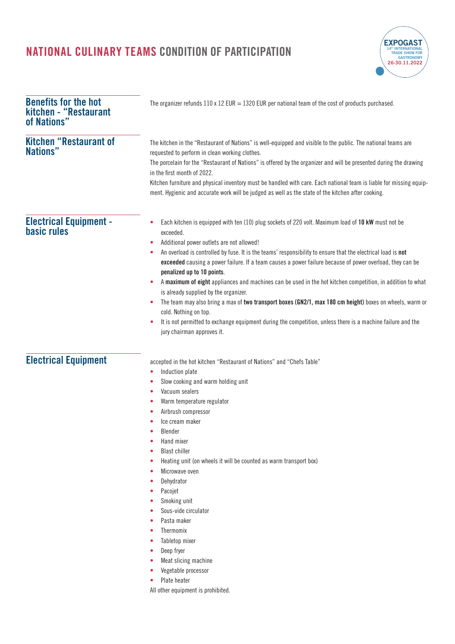

| <b>Benefits for the hot</b><br>kitchen - "Restaurant<br>of Nations" | The organizer refunds $110 \times 12$ EUR = 1320 EUR per national team of the cost of products purchased.                                                                                                                                                                                                                                                                                                                                                                                                                                                                                                                                                                                                                                                                                                                                                                                 |
|---------------------------------------------------------------------|-------------------------------------------------------------------------------------------------------------------------------------------------------------------------------------------------------------------------------------------------------------------------------------------------------------------------------------------------------------------------------------------------------------------------------------------------------------------------------------------------------------------------------------------------------------------------------------------------------------------------------------------------------------------------------------------------------------------------------------------------------------------------------------------------------------------------------------------------------------------------------------------|
| <b>Kitchen "Restaurant of</b><br>Nations"                           | The kitchen in the "Restaurant of Nations" is well-equipped and visible to the public. The national teams are<br>requested to perform in clean working clothes.<br>The porcelain for the "Restaurant of Nations" is offered by the organizer and will be presented during the drawing<br>in the first month of 2022.<br>Kitchen furniture and physical inventory must be handled with care. Each national team is liable for missing equip-<br>ment. Hygienic and accurate work will be judged as well as the state of the kitchen after cooking.                                                                                                                                                                                                                                                                                                                                         |
| <b>Electrical Equipment -</b><br><b>basic rules</b>                 | Each kitchen is equipped with ten (10) plug sockets of 220 volt. Maximum load of 10 kW must not be<br>۰<br>exceeded.<br>Additional power outlets are not allowed!<br>۰<br>An overload is controlled by fuse. It is the teams' responsibility to ensure that the electrical load is not<br>۰<br>exceeded causing a power failure. If a team causes a power failure because of power overload, they can be<br>penalized up to 10 points.<br>A maximum of eight appliances and machines can be used in the hot kitchen competition, in addition to what<br>is already supplied by the organizer.<br>The team may also bring a max of two transport boxes (GN2/1, max 180 cm height) boxes on wheels, warm or<br>۰<br>cold. Nothing on top.<br>It is not permitted to exchange equipment during the competition, unless there is a machine failure and the<br>۰<br>jury chairman approves it. |
| <b>Electrical Equipment</b>                                         | accepted in the hot kitchen "Restaurant of Nations" and "Chefs Table"<br>Induction plate<br>٠<br>Slow cooking and warm holding unit<br>۰<br>Vacuum sealers<br>۰<br>Warm temperature regulator<br>۰<br>Airbrush compressor<br>Ice cream maker<br><b>Blender</b><br>٠<br>Hand mixer<br>$\bullet$<br><b>Blast chiller</b><br>Heating unit (on wheels it will be counted as warm transport box)<br>۰<br>Microwave oven<br>۰<br>Dehydrator<br>۰<br>Pacojet<br>۰<br>Smoking unit<br>$\bullet$<br>Sous-vide circulator<br>۰<br>Pasta maker<br>۰<br>Thermomix<br>۰<br>Tabletop mixer<br>۰<br>Deep fryer<br>$\bullet$<br>Meat slicing machine<br>۰<br>Vegetable processor<br>Plate heater<br>All other equipment is prohibited.                                                                                                                                                                    |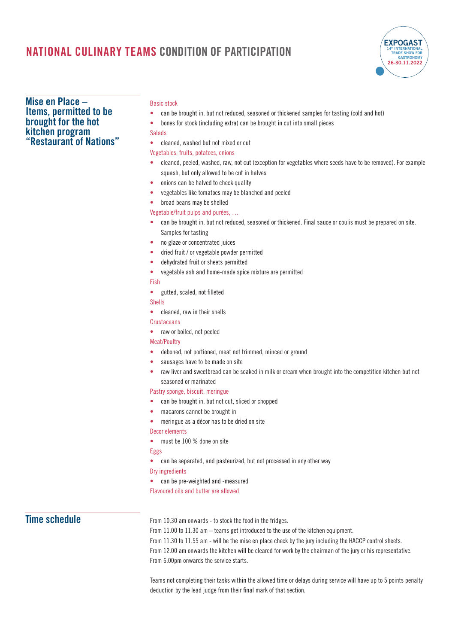

### **Mise en Place – Items, permitted to be brought for the hot kitchen program "Restaurant of Nations"**

#### Basic stock

- **•** can be brought in, but not reduced, seasoned or thickened samples for tasting (cold and hot)
- **•** bones for stock (including extra) can be brought in cut into small pieces

#### **Salads**

**•** cleaned, washed but not mixed or cut

Vegetables, fruits, potatoes, onions

- **•** cleaned, peeled, washed, raw, not cut (exception for vegetables where seeds have to be removed). For example squash, but only allowed to be cut in halves
- **•** onions can be halved to check quality
- **•** vegetables like tomatoes may be blanched and peeled

### **•** broad beans may be shelled

Vegetable/fruit pulps and purées, …

- **•** can be brought in, but not reduced, seasoned or thickened. Final sauce or coulis must be prepared on site. Samples for tasting
- **•** no glaze or concentrated juices
- **•** dried fruit / or vegetable powder permitted
- **•** dehydrated fruit or sheets permitted
- **•** vegetable ash and home-made spice mixture are permitted

Fish

**•** gutted, scaled, not filleted

Shells

**•** cleaned, raw in their shells

#### **Crustaceans**

**•** raw or boiled, not peeled

#### Meat/Poultry

- **•** deboned, not portioned, meat not trimmed, minced or ground
- **•** sausages have to be made on site
- **•** raw liver and sweetbread can be soaked in milk or cream when brought into the competition kitchen but not seasoned or marinated

### Pastry sponge, biscuit, meringue

- **•** can be brought in, but not cut, sliced or chopped
- **•** macarons cannot be brought in
- **•** meringue as a décor has to be dried on site

Decor elements

**•** must be 100 % done on site

#### Eggs

**•** can be separated, and pasteurized, but not processed in any other way

Dry ingredients

- **•** can be pre-weighted and -measured
- Flavoured oils and butter are allowed

## **Time schedule**

From 10.30 am onwards - to stock the food in the fridges.

From 11.00 to 11.30 am – teams get introduced to the use of the kitchen equipment. From 11.30 to 11.55 am - will be the mise en place check by the jury including the HACCP control sheets. From 12.00 am onwards the kitchen will be cleared for work by the chairman of the jury or his representative. From 6.00pm onwards the service starts.

Teams not completing their tasks within the allowed time or delays during service will have up to 5 points penalty deduction by the lead judge from their final mark of that section.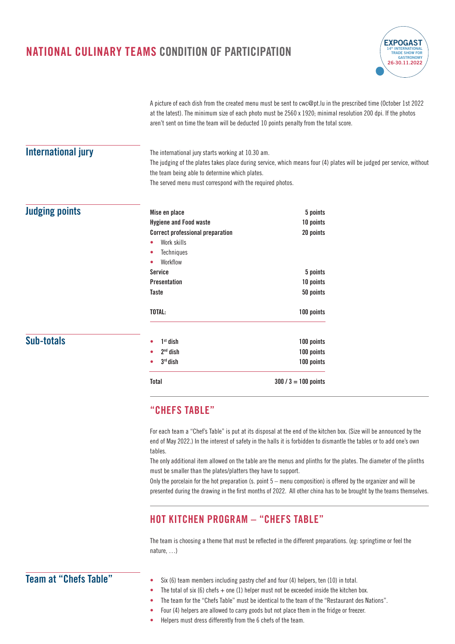

A picture of each dish from the created menu must be sent to cwc@pt.lu in the prescribed time (October 1st 2022 at the latest). The minimum size of each photo must be 2560 x 1920; minimal resolution 200 dpi. If the photos aren't sent on time the team will be deducted 10 points penalty from the total score.

## **International jury**

The international jury starts working at 10.30 am. The judging of the plates takes place during service, which means four (4) plates will be judged per service, without the team being able to determine which plates.

The served menu must correspond with the required photos.

|  |  |  | <b>Judging points</b> |
|--|--|--|-----------------------|
|  |  |  |                       |

**Sub-totals**

| $3rd$ dish                              | 100 points                         |  |
|-----------------------------------------|------------------------------------|--|
| $2nd$ dish                              | 100 points                         |  |
| $1st$ dish                              | 100 points                         |  |
| TOTAL:                                  | 100 points                         |  |
| Taste                                   | 5 points<br>10 points<br>50 points |  |
| <b>Presentation</b>                     |                                    |  |
| <b>Service</b>                          |                                    |  |
| Workflow                                |                                    |  |
| <b>Techniques</b>                       |                                    |  |
| Work skills                             |                                    |  |
| <b>Correct professional preparation</b> | 20 points                          |  |
| <b>Hygiene and Food waste</b>           | 10 points                          |  |
| Mise en place                           | 5 points                           |  |

## **"CHEFS TABLE"**

For each team a "Chef's Table" is put at its disposal at the end of the kitchen box. (Size will be announced by the end of May 2022.) In the interest of safety in the halls it is forbidden to dismantle the tables or to add one's own tables.

The only additional item allowed on the table are the menus and plinths for the plates. The diameter of the plinths must be smaller than the plates/platters they have to support.

Only the porcelain for the hot preparation (s. point 5 – menu composition) is offered by the organizer and will be presented during the drawing in the first months of 2022. All other china has to be brought by the teams themselves.

## **HOT KITCHEN PROGRAM – "CHEFS TABLE"**

The team is choosing a theme that must be reflected in the different preparations. (eg: springtime or feel the nature, …)

## **Team at "Chefs Table"**

- **•** Six (6) team members including pastry chef and four (4) helpers, ten (10) in total.
- The total of six (6) chefs  $+$  one (1) helper must not be exceeded inside the kitchen box.
- **•** The team for the "Chefs Table" must be identical to the team of the "Restaurant des Nations".
- **•** Four (4) helpers are allowed to carry goods but not place them in the fridge or freezer.
- **•** Helpers must dress differently from the 6 chefs of the team.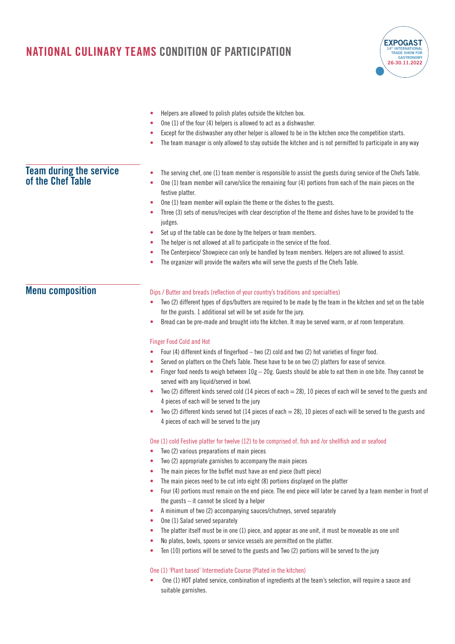

- **•** Helpers are allowed to polish plates outside the kitchen box.
- **•** One (1) of the four (4) helpers is allowed to act as a dishwasher.
- **•** Except for the dishwasher any other helper is allowed to be in the kitchen once the competition starts.
- **•** The team manager is only allowed to stay outside the kitchen and is not permitted to participate in any way

### • The serving chef, one (1) team member is responsible to assist the guests during service of the Chefs Table. **•** One (1) team member will carve/slice the remaining four (4) portions from each of the main pieces on the festive platter. **•** One (1) team member will explain the theme or the dishes to the guests. **•** Three (3) sets of menus/recipes with clear description of the theme and dishes have to be provided to the judges. **Team during the service of the Chef Table**

- **•** Set up of the table can be done by the helpers or team members.
- **•** The helper is not allowed at all to participate in the service of the food.
- **•** The Centerpiece/ Showpiece can only be handled by team members. Helpers are not allowed to assist.
- **•** The organizer will provide the waiters who will serve the guests of the Chefs Table.

## **Menu composition**

### Dips / Butter and breads (reflection of your country's traditions and specialties)

- **•** Two (2) different types of dips/butters are required to be made by the team in the kitchen and set on the table for the guests. 1 additional set will be set aside for the jury.
- **•** Bread can be pre-made and brought into the kitchen. It may be served warm, or at room temperature.

### Finger Food Cold and Hot

- **•** Four (4) different kinds of fingerfood two (2) cold and two (2) hot varieties of finger food.
- **•** Served on platters on the Chefs Table. These have to be on two (2) platters for ease of service.
- **•** Finger food needs to weigh between 10g 20g. Guests should be able to eat them in one bite. They cannot be served with any liquid/served in bowl.
- Two (2) different kinds served cold (14 pieces of each = 28), 10 pieces of each will be served to the guests and 4 pieces of each will be served to the jury
- **•** Two (2) different kinds served hot (14 pieces of each = 28), 10 pieces of each will be served to the guests and 4 pieces of each will be served to the jury

#### One (1) cold Festive platter for twelve (12) to be comprised of, fish and /or shellfish and or seafood

- **•** Two (2) various preparations of main pieces
- **•** Two (2) appropriate garnishes to accompany the main pieces
- **•** The main pieces for the buffet must have an end piece (butt piece)
- **•** The main pieces need to be cut into eight (8) portions displayed on the platter
- **•** Four (4) portions must remain on the end piece. The end piece will later be carved by a team member in front of the guests – it cannot be sliced by a helper
- **•** A minimum of two (2) accompanying sauces/chutneys, served separately
- **•** One (1) Salad served separately
- **•** The platter itself must be in one (1) piece, and appear as one unit, it must be moveable as one unit
- **•** No plates, bowls, spoons or service vessels are permitted on the platter.
- **•** Ten (10) portions will be served to the guests and Two (2) portions will be served to the jury

### One (1) 'Plant based' Intermediate Course (Plated in the kitchen)

**•** One (1) HOT plated service, combination of ingredients at the team's selection, will require a sauce and suitable garnishes.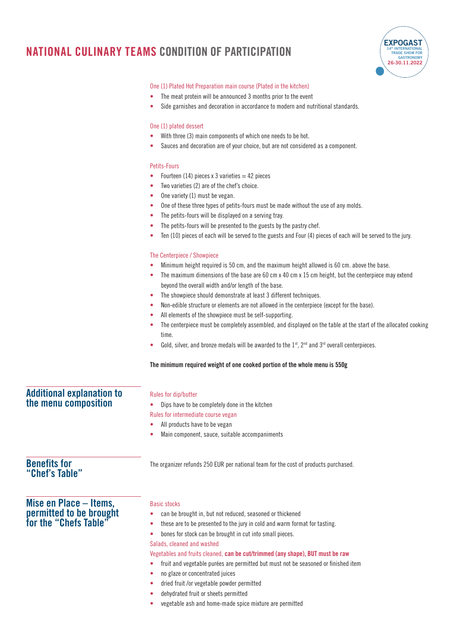

### One (1) Plated Hot Preparation main course (Plated in the kitchen)

- **•** The meat protein will be announced 3 months prior to the event
- **•** Side garnishes and decoration in accordance to modern and nutritional standards.

### One (1) plated dessert

- **•** With three (3) main components of which one needs to be hot.
- **•** Sauces and decoration are of your choice, but are not considered as a component.

### Petits-Fours

- Fourteen (14) pieces  $x$  3 varieties  $=$  42 pieces
- **•** Two varieties (2) are of the chef's choice.
- **•** One variety (1) must be vegan.
- **•** One of these three types of petits-fours must be made without the use of any molds.
- **•** The petits-fours will be displayed on a serving tray.
- **•** The petits-fours will be presented to the guests by the pastry chef.
- **•** Ten (10) pieces of each will be served to the guests and Four (4) pieces of each will be served to the jury.

#### The Centerpiece / Showpiece

- **•** Minimum height required is 50 cm, and the maximum height allowed is 60 cm. above the base.
- **•** The maximum dimensions of the base are 60 cm x 40 cm x 15 cm height, but the centerpiece may extend beyond the overall width and/or length of the base.
- **•** The showpiece should demonstrate at least 3 different techniques.
- **•** Non-edible structure or elements are not allowed in the centerpiece (except for the base).
- **•** All elements of the showpiece must be self-supporting.
- **•** The centerpiece must be completely assembled, and displayed on the table at the start of the allocated cooking time.
- Gold, silver, and bronze medals will be awarded to the 1<sup>st</sup>, 2<sup>nd</sup> and 3<sup>rd</sup> overall centerpieces.

### **The minimum required weight of one cooked portion of the whole menu is 550g**

## **Additional explanation to the menu composition**

### Rules for dip/butter

- **•** Dips have to be completely done in the kitchen
- Rules for intermediate course vegan
- **•** All products have to be vegan
- **•** Main component, sauce, suitable accompaniments

The organizer refunds 250 EUR per national team for the cost of products purchased.

## **Benefits for "Chef's Table"**

## **Mise en Place – Items, permitted to be brought for the "Chefs Table"**

### Basic stocks

- **•** can be brought in, but not reduced, seasoned or thickened
- **•** these are to be presented to the jury in cold and warm format for tasting.
- **•** bones for stock can be brought in cut into small pieces.

Salads, cleaned and washed

Vegetables and fruits cleaned, **can be cut/trimmed (any shape), BUT must be raw**

- **•** fruit and vegetable purées are permitted but must not be seasoned or finished item
- **•** no glaze or concentrated juices
- **•** dried fruit /or vegetable powder permitted
- **•** dehydrated fruit or sheets permitted
- **•** vegetable ash and home-made spice mixture are permitted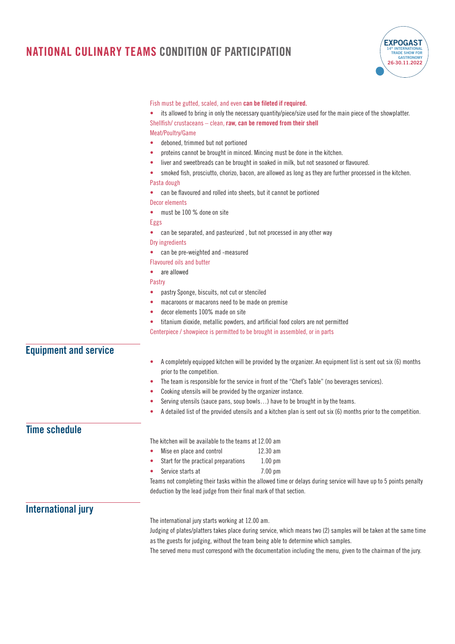

|                              | Fish must be gutted, scaled, and even can be fileted if required.                                                  |  |  |
|------------------------------|--------------------------------------------------------------------------------------------------------------------|--|--|
|                              | its allowed to bring in only the necessary quantity/piece/size used for the main piece of the showplatter.         |  |  |
|                              | Shellfish/ crustaceans - clean, raw, can be removed from their shell                                               |  |  |
|                              | Meat/Poultry/Game                                                                                                  |  |  |
|                              | deboned, trimmed but not portioned<br>۰                                                                            |  |  |
|                              | proteins cannot be brought in minced. Mincing must be done in the kitchen.<br>۰                                    |  |  |
|                              | liver and sweetbreads can be brought in soaked in milk, but not seasoned or flavoured.<br>۰                        |  |  |
|                              | smoked fish, prosciutto, chorizo, bacon, are allowed as long as they are further processed in the kitchen.         |  |  |
|                              | Pasta dough                                                                                                        |  |  |
|                              | can be flavoured and rolled into sheets, but it cannot be portioned                                                |  |  |
|                              | <b>Decor elements</b>                                                                                              |  |  |
|                              | must be 100 % done on site                                                                                         |  |  |
|                              | Eggs                                                                                                               |  |  |
|                              | can be separated, and pasteurized, but not processed in any other way                                              |  |  |
|                              | Dry ingredients                                                                                                    |  |  |
|                              | can be pre-weighted and -measured                                                                                  |  |  |
|                              | <b>Flavoured oils and butter</b>                                                                                   |  |  |
|                              | are allowed                                                                                                        |  |  |
|                              | Pastry                                                                                                             |  |  |
|                              | pastry Sponge, biscuits, not cut or stenciled<br>٠                                                                 |  |  |
|                              | macaroons or macarons need to be made on premise<br>۰                                                              |  |  |
|                              | decor elements 100% made on site<br>۰                                                                              |  |  |
|                              | titanium dioxide, metallic powders, and artificial food colors are not permitted<br>۰                              |  |  |
|                              | Centerpiece / showpiece is permitted to be brought in assembled, or in parts                                       |  |  |
|                              |                                                                                                                    |  |  |
| <b>Equipment and service</b> |                                                                                                                    |  |  |
|                              | A completely equipped kitchen will be provided by the organizer. An equipment list is sent out six (6) months<br>۰ |  |  |
|                              | prior to the competition.                                                                                          |  |  |
|                              | The team is responsible for the service in front of the "Chef's Table" (no beverages services).<br>۰               |  |  |
|                              | Cooking utensils will be provided by the organizer instance.<br>۰                                                  |  |  |
|                              | Serving utensils (sauce pans, soup bowls) have to be brought in by the teams.<br>۰                                 |  |  |
|                              | A detailed list of the provided utensils and a kitchen plan is sent out six (6) months prior to the competition.   |  |  |
|                              |                                                                                                                    |  |  |
| <b>Time schedule</b>         |                                                                                                                    |  |  |
|                              | The kitchen will be available to the teams at 12.00 am                                                             |  |  |
|                              | Mise en place and control<br>12.30 am                                                                              |  |  |
|                              | $1.00$ pm<br>Start for the practical preparations                                                                  |  |  |
|                              | Service starts at<br>$7.00 \text{ pm}$                                                                             |  |  |
|                              | Teams not completing their tasks within the allowed time or delays during service will have up to 5 points penalty |  |  |
|                              | deduction by the lead judge from their final mark of that section.                                                 |  |  |
|                              |                                                                                                                    |  |  |
| <b>International jury</b>    |                                                                                                                    |  |  |
|                              | The international jury starts working at 12.00 am.                                                                 |  |  |
|                              | Judging of plates/platters takes place during service, which means two (2) samples will be taken at the same time  |  |  |
|                              | as the guests for judging, without the team being able to determine which samples.                                 |  |  |
|                              | The served menu must correspond with the documentation including the menu, given to the chairman of the jury.      |  |  |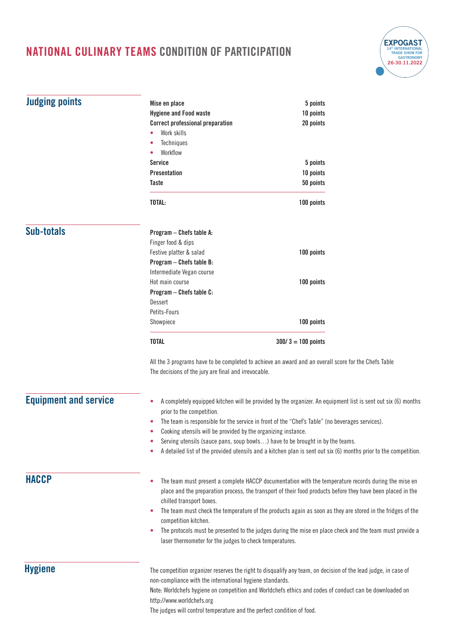

| <b>Judging points</b>        | Mise en place                                                                                                                                                                                                                                        |                      |          |  |
|------------------------------|------------------------------------------------------------------------------------------------------------------------------------------------------------------------------------------------------------------------------------------------------|----------------------|----------|--|
|                              | <b>Hygiene and Food waste</b>                                                                                                                                                                                                                        | 10 points            | 5 points |  |
|                              | <b>Correct professional preparation</b><br>20 points                                                                                                                                                                                                 |                      |          |  |
|                              | Work skills                                                                                                                                                                                                                                          |                      |          |  |
|                              | Techniques                                                                                                                                                                                                                                           |                      |          |  |
|                              | Workflow                                                                                                                                                                                                                                             |                      |          |  |
|                              | Service                                                                                                                                                                                                                                              | 5 points             |          |  |
|                              | <b>Presentation</b>                                                                                                                                                                                                                                  | 10 points            |          |  |
|                              | Taste                                                                                                                                                                                                                                                | 50 points            |          |  |
|                              | TOTAL:                                                                                                                                                                                                                                               | 100 points           |          |  |
| <b>Sub-totals</b>            | Program - Chefs table A:                                                                                                                                                                                                                             |                      |          |  |
|                              | Finger food & dips                                                                                                                                                                                                                                   |                      |          |  |
|                              | Festive platter & salad                                                                                                                                                                                                                              | 100 points           |          |  |
|                              | Program - Chefs table B:                                                                                                                                                                                                                             |                      |          |  |
|                              | Intermediate Vegan course                                                                                                                                                                                                                            |                      |          |  |
|                              | Hot main course                                                                                                                                                                                                                                      | 100 points           |          |  |
|                              | Program - Chefs table C:                                                                                                                                                                                                                             |                      |          |  |
|                              | Dessert                                                                                                                                                                                                                                              |                      |          |  |
|                              | Petits-Fours                                                                                                                                                                                                                                         |                      |          |  |
|                              | Showpiece                                                                                                                                                                                                                                            | 100 points           |          |  |
|                              | <b>TOTAL</b>                                                                                                                                                                                                                                         | $300/3 = 100$ points |          |  |
|                              | All the 3 programs have to be completed to achieve an award and an overall score for the Chefs Table<br>The decisions of the jury are final and irrevocable.                                                                                         |                      |          |  |
| <b>Equipment and service</b> | A completely equipped kitchen will be provided by the organizer. An equipment list is sent out six (6) months<br>۰<br>prior to the competition.<br>The team is responsible for the service in front of the "Chef's Table" (no beverages services).   |                      |          |  |
|                              | Cooking utensils will be provided by the organizing instance.<br>۰                                                                                                                                                                                   |                      |          |  |
|                              | Serving utensils (sauce pans, soup bowls) have to be brought in by the teams.                                                                                                                                                                        |                      |          |  |
|                              | A detailed list of the provided utensils and a kitchen plan is sent out six (6) months prior to the competition.                                                                                                                                     |                      |          |  |
| <b>HACCP</b>                 | The team must present a complete HACCP documentation with the temperature records during the mise en<br>٠<br>place and the preparation process, the transport of their food products before they have been placed in the<br>chilled transport boxes. |                      |          |  |
|                              | The team must check the temperature of the products again as soon as they are stored in the fridges of the<br>۰<br>competition kitchen.                                                                                                              |                      |          |  |
|                              | The protocols must be presented to the judges during the mise en place check and the team must provide a<br>۰<br>laser thermometer for the judges to check temperatures.                                                                             |                      |          |  |
| <b>Hygiene</b>               | The competition organizer reserves the right to disqualify any team, on decision of the lead judge, in case of                                                                                                                                       |                      |          |  |
|                              | non-compliance with the international hygiene standards.<br>Note: Worldchefs hygiene on competition and Worldchefs ethics and codes of conduct can be downloaded on                                                                                  |                      |          |  |
|                              | http://www.worldchefs.org                                                                                                                                                                                                                            |                      |          |  |
|                              | The judges will control temperature and the perfect condition of food.                                                                                                                                                                               |                      |          |  |